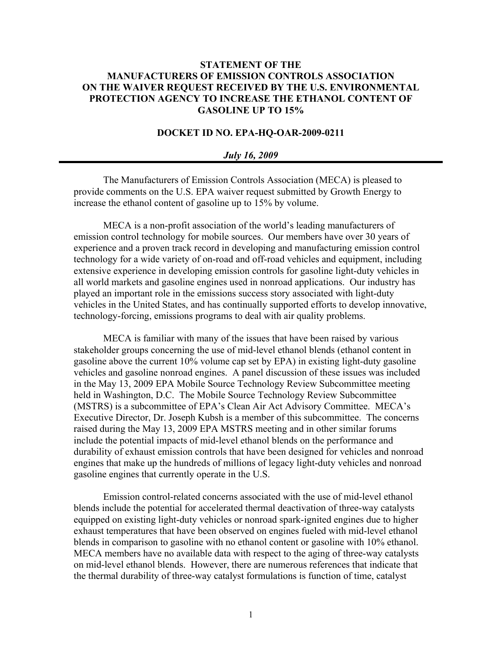## **STATEMENT OF THE MANUFACTURERS OF EMISSION CONTROLS ASSOCIATION ON THE WAIVER REQUEST RECEIVED BY THE U.S. ENVIRONMENTAL PROTECTION AGENCY TO INCREASE THE ETHANOL CONTENT OF GASOLINE UP TO 15%**

## **DOCKET ID NO. EPA-HQ-OAR-2009-0211**

## *July 16, 2009*

The Manufacturers of Emission Controls Association (MECA) is pleased to provide comments on the U.S. EPA waiver request submitted by Growth Energy to increase the ethanol content of gasoline up to 15% by volume.

MECA is a non-profit association of the world's leading manufacturers of emission control technology for mobile sources. Our members have over 30 years of experience and a proven track record in developing and manufacturing emission control technology for a wide variety of on-road and off-road vehicles and equipment, including extensive experience in developing emission controls for gasoline light-duty vehicles in all world markets and gasoline engines used in nonroad applications. Our industry has played an important role in the emissions success story associated with light-duty vehicles in the United States, and has continually supported efforts to develop innovative, technology-forcing, emissions programs to deal with air quality problems.

MECA is familiar with many of the issues that have been raised by various stakeholder groups concerning the use of mid-level ethanol blends (ethanol content in gasoline above the current 10% volume cap set by EPA) in existing light-duty gasoline vehicles and gasoline nonroad engines. A panel discussion of these issues was included in the May 13, 2009 EPA Mobile Source Technology Review Subcommittee meeting held in Washington, D.C. The Mobile Source Technology Review Subcommittee (MSTRS) is a subcommittee of EPA's Clean Air Act Advisory Committee. MECA's Executive Director, Dr. Joseph Kubsh is a member of this subcommittee. The concerns raised during the May 13, 2009 EPA MSTRS meeting and in other similar forums include the potential impacts of mid-level ethanol blends on the performance and durability of exhaust emission controls that have been designed for vehicles and nonroad engines that make up the hundreds of millions of legacy light-duty vehicles and nonroad gasoline engines that currently operate in the U.S.

Emission control-related concerns associated with the use of mid-level ethanol blends include the potential for accelerated thermal deactivation of three-way catalysts equipped on existing light-duty vehicles or nonroad spark-ignited engines due to higher exhaust temperatures that have been observed on engines fueled with mid-level ethanol blends in comparison to gasoline with no ethanol content or gasoline with 10% ethanol. MECA members have no available data with respect to the aging of three-way catalysts on mid-level ethanol blends. However, there are numerous references that indicate that the thermal durability of three-way catalyst formulations is function of time, catalyst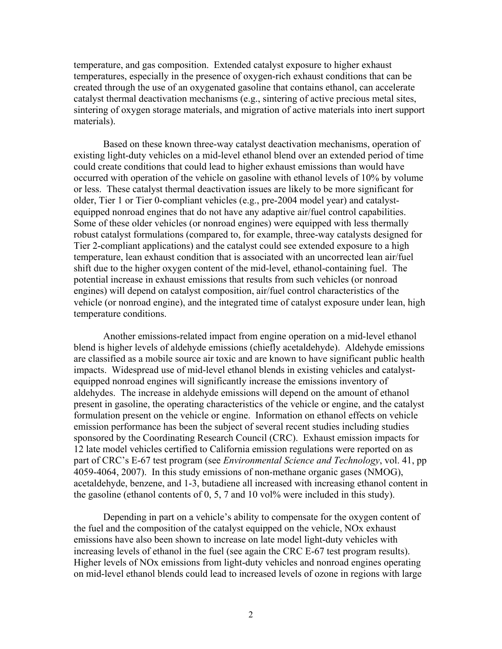temperature, and gas composition. Extended catalyst exposure to higher exhaust temperatures, especially in the presence of oxygen-rich exhaust conditions that can be created through the use of an oxygenated gasoline that contains ethanol, can accelerate catalyst thermal deactivation mechanisms (e.g., sintering of active precious metal sites, sintering of oxygen storage materials, and migration of active materials into inert support materials).

Based on these known three-way catalyst deactivation mechanisms, operation of existing light-duty vehicles on a mid-level ethanol blend over an extended period of time could create conditions that could lead to higher exhaust emissions than would have occurred with operation of the vehicle on gasoline with ethanol levels of 10% by volume or less. These catalyst thermal deactivation issues are likely to be more significant for older, Tier 1 or Tier 0-compliant vehicles (e.g., pre-2004 model year) and catalystequipped nonroad engines that do not have any adaptive air/fuel control capabilities. Some of these older vehicles (or nonroad engines) were equipped with less thermally robust catalyst formulations (compared to, for example, three-way catalysts designed for Tier 2-compliant applications) and the catalyst could see extended exposure to a high temperature, lean exhaust condition that is associated with an uncorrected lean air/fuel shift due to the higher oxygen content of the mid-level, ethanol-containing fuel. The potential increase in exhaust emissions that results from such vehicles (or nonroad engines) will depend on catalyst composition, air/fuel control characteristics of the vehicle (or nonroad engine), and the integrated time of catalyst exposure under lean, high temperature conditions.

Another emissions-related impact from engine operation on a mid-level ethanol blend is higher levels of aldehyde emissions (chiefly acetaldehyde). Aldehyde emissions are classified as a mobile source air toxic and are known to have significant public health impacts. Widespread use of mid-level ethanol blends in existing vehicles and catalystequipped nonroad engines will significantly increase the emissions inventory of aldehydes. The increase in aldehyde emissions will depend on the amount of ethanol present in gasoline, the operating characteristics of the vehicle or engine, and the catalyst formulation present on the vehicle or engine. Information on ethanol effects on vehicle emission performance has been the subject of several recent studies including studies sponsored by the Coordinating Research Council (CRC). Exhaust emission impacts for 12 late model vehicles certified to California emission regulations were reported on as part of CRC's E-67 test program (see *Environmental Science and Technology*, vol. 41, pp 4059-4064, 2007). In this study emissions of non-methane organic gases (NMOG), acetaldehyde, benzene, and 1-3, butadiene all increased with increasing ethanol content in the gasoline (ethanol contents of  $0, 5, 7$  and  $10$  vol% were included in this study).

Depending in part on a vehicle's ability to compensate for the oxygen content of the fuel and the composition of the catalyst equipped on the vehicle, NOx exhaust emissions have also been shown to increase on late model light-duty vehicles with increasing levels of ethanol in the fuel (see again the CRC E-67 test program results). Higher levels of NOx emissions from light-duty vehicles and nonroad engines operating on mid-level ethanol blends could lead to increased levels of ozone in regions with large